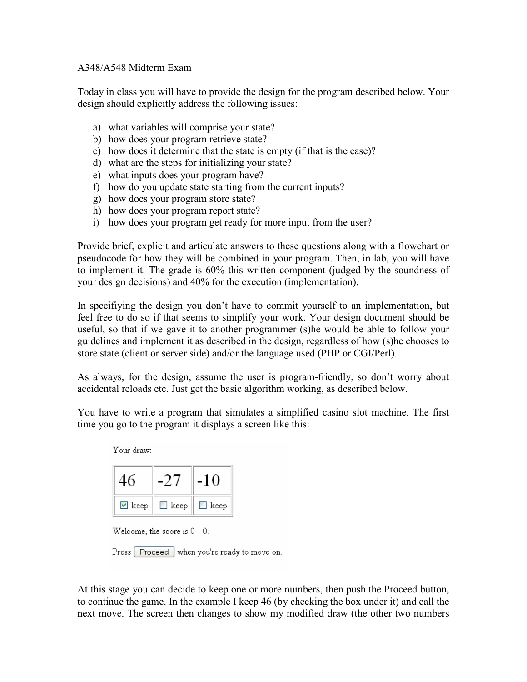## A348/A548 Midterm Exam

Today in class you will have to provide the design for the program described below. Your design should explicitly address the following issues:

- a) what variables will comprise your state?
- b) how does your program retrieve state?
- c) how does it determine that the state is empty (if that is the case)?
- d) what are the steps for initializing your state?
- e) what inputs does your program have?
- f) how do you update state starting from the current inputs?
- g) how does your program store state?
- h) how does your program report state?
- i) how does your program get ready for more input from the user?

Provide brief, explicit and articulate answers to these questions along with a flowchart or pseudocode for how they will be combined in your program. Then, in lab, you will have to implement it. The grade is 60% this written component (judged by the soundness of your design decisions) and 40% for the execution (implementation).

In specifiying the design you don't have to commit yourself to an implementation, but feel free to do so if that seems to simplify your work. Your design document should be useful, so that if we gave it to another programmer (s)he would be able to follow your guidelines and implement it as described in the design, regardless of how (s)he chooses to store state (client or server side) and/or the language used (PHP or CGI/Perl).

As always, for the design, assume the user is program-friendly, so don't worry about accidental reloads etc. Just get the basic algorithm working, as described below.

You have to write a program that simulates a simplified casino slot machine. The first time you go to the program it displays a screen like this:



Press Proceed when you're ready to move on.

At this stage you can decide to keep one or more numbers, then push the Proceed button, to continue the game. In the example I keep 46 (by checking the box under it) and call the next move. The screen then changes to show my modified draw (the other two numbers